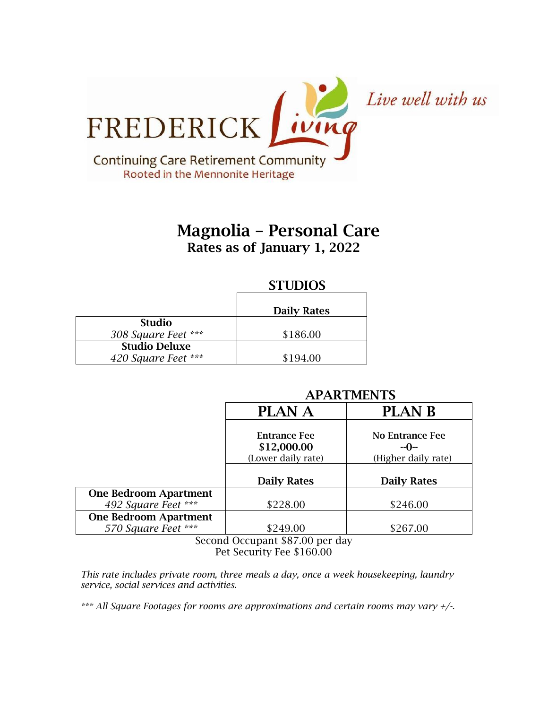

# Magnolia – Personal Care Rates as of January 1, 2022

# **STUDIOS**

|                      | <b>Daily Rates</b> |
|----------------------|--------------------|
| <b>Studio</b>        |                    |
| 308 Square Feet ***  | \$186.00           |
| <b>Studio Deluxe</b> |                    |
| 420 Square Feet ***  | \$194.00           |

# APARTMENTS

|                              | <b>PLAN A</b>                                            | <b>PLAN B</b>                                   |
|------------------------------|----------------------------------------------------------|-------------------------------------------------|
|                              | <b>Entrance Fee</b><br>\$12,000.00<br>(Lower daily rate) | No Entrance Fee<br>$-0-$<br>(Higher daily rate) |
|                              | <b>Daily Rates</b>                                       | <b>Daily Rates</b>                              |
| <b>One Bedroom Apartment</b> |                                                          |                                                 |
| 492 Square Feet ***          | \$228.00                                                 | \$246.00                                        |
| <b>One Bedroom Apartment</b> |                                                          |                                                 |
| 570 Square Feet ***          | \$249.00                                                 | \$267.00                                        |

Second Occupant \$87.00 per day Pet Security Fee \$160.00

*This rate includes private room, three meals a day, once a week housekeeping, laundry service, social services and activities.*

*\*\*\* All Square Footages for rooms are approximations and certain rooms may vary +/-.*